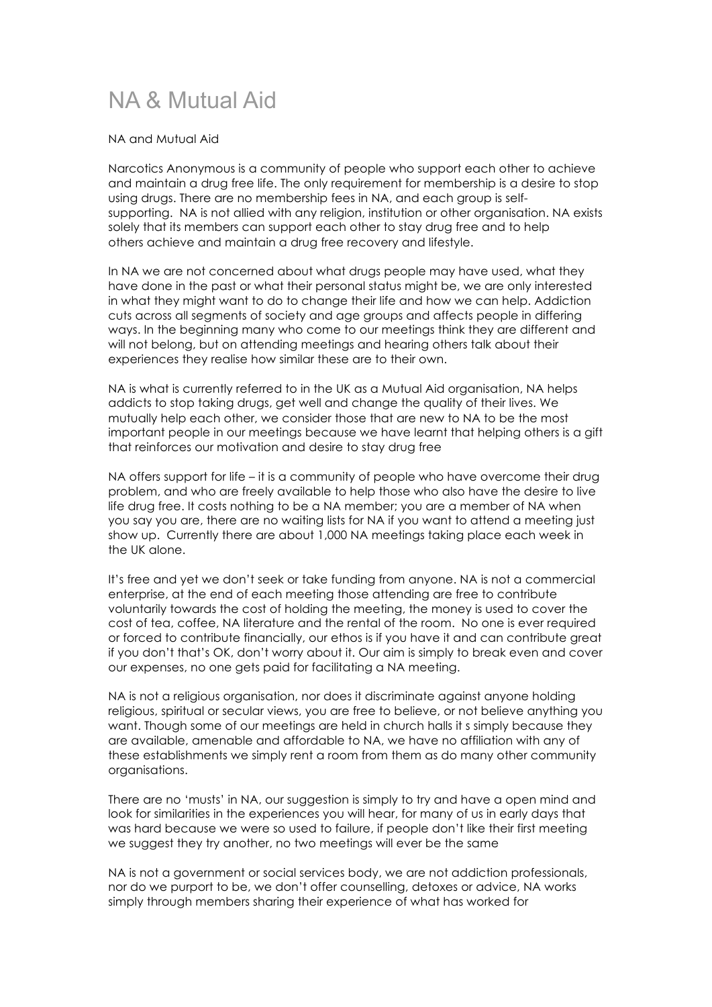## NA & Mutual Aid

## NA and Mutual Aid

Narcotics Anonymous is a community of people who support each other to achieve and maintain a drug free life. The only requirement for membership is a desire to stop using drugs. There are no membership fees in NA, and each group is selfsupporting. NA is not allied with any religion, institution or other organisation. NA exists solely that its members can support each other to stay drug free and to help others achieve and maintain a drug free recovery and lifestyle.

In NA we are not concerned about what drugs people may have used, what they have done in the past or what their personal status might be, we are only interested in what they might want to do to change their life and how we can help. Addiction cuts across all segments of society and age groups and affects people in differing ways. In the beginning many who come to our meetings think they are different and will not belong, but on attending meetings and hearing others talk about their experiences they realise how similar these are to their own.

NA is what is currently referred to in the UK as a Mutual Aid organisation, NA helps addicts to stop taking drugs, get well and change the quality of their lives. We mutually help each other, we consider those that are new to NA to be the most important people in our meetings because we have learnt that helping others is a gift that reinforces our motivation and desire to stay drug free

NA offers support for life – it is a community of people who have overcome their drug problem, and who are freely available to help those who also have the desire to live life drug free. It costs nothing to be a NA member; you are a member of NA when you say you are, there are no waiting lists for NA if you want to attend a meeting just show up. Currently there are about 1,000 NA meetings taking place each week in the UK alone.

It's free and yet we don't seek or take funding from anyone. NA is not a commercial enterprise, at the end of each meeting those attending are free to contribute voluntarily towards the cost of holding the meeting, the money is used to cover the cost of tea, coffee, NA literature and the rental of the room. No one is ever required or forced to contribute financially, our ethos is if you have it and can contribute great if you don't that's OK, don't worry about it. Our aim is simply to break even and cover our expenses, no one gets paid for facilitating a NA meeting.

NA is not a religious organisation, nor does it discriminate against anyone holding religious, spiritual or secular views, you are free to believe, or not believe anything you want. Though some of our meetings are held in church halls it s simply because they are available, amenable and affordable to NA, we have no affiliation with any of these establishments we simply rent a room from them as do many other community organisations.

There are no 'musts' in NA, our suggestion is simply to try and have a open mind and look for similarities in the experiences you will hear, for many of us in early days that was hard because we were so used to failure, if people don't like their first meeting we suggest they try another, no two meetings will ever be the same

NA is not a government or social services body, we are not addiction professionals, nor do we purport to be, we don't offer counselling, detoxes or advice, NA works simply through members sharing their experience of what has worked for